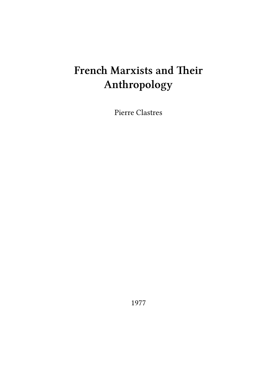## **French Marxists and Their Anthropology**

Pierre Clastres

1977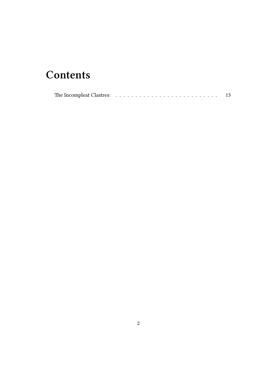## **Contents**

| The Incompleat Clastres: $\ldots$ , $\ldots$ , $\ldots$ , $\ldots$ , $\ldots$ , $\ldots$ , $\ldots$ , $\ldots$ |  |
|----------------------------------------------------------------------------------------------------------------|--|
|----------------------------------------------------------------------------------------------------------------|--|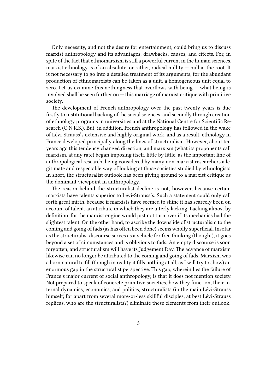Only necessity, and not the desire for entertainment, could bring us to discuss marxist anthropology and its advantages, drawbacks, causes, and effects. For, in spite of the fact that ethnomarxism is still a powerful current in the human sciences, marxist ethnology is of an absolute, or rather, radical nullity — null at the root. It is not necessary to go into a detailed treatment of its arguments, for the abundant production of ethnomarxists can be taken as a unit, a homogeneous unit equal to zero. Let us examine this nothingness that overflows with being  $-$  what being is  $involved$  shall be seen further on  $-$  this marriage of marxist critique with primitive society.

The development of French anthropology over the past twenty years is due firstly to institutional backing of the social sciences, and secondly through creation of ethnology programs in universities and at the National Centre for Scientific Research (C.N.R.S.). But, in addition, French anthropology has followed in the wake of Lévi-Strauss's extensive and highly original work, and as a result, ethnology in France developed principally along the lines of structuralism. However, about ten years ago this tendency changed direction, and marxism (what its proponents call marxism, at any rate) began imposing itself, little by little, as the important line of anthropological research, being considered by many non-marxist researchers a legitimate and respectable way of looking at those societies studied by ethnologists. In short, the structuralist outlook has been giving ground to a marxist critique as the dominant viewpoint in anthropology.

The reason behind the structuralist decline is not, however, because certain marxists have talents superior to Lévi-Strauss's. Such a statement could only call forth great mirth, because if marxists have seemed to shine it has scarcely been on account of talent, an attribute in which they are utterly lacking. Lacking almost by definition, for the marxist engine would just not turn over if its mechanics had the slightest talent. On the other hand, to ascribe the downslide of structuralism to the coming and going of fads (as has often been done) seems wholly superficial. Insofar as the structuralist discourse serves as a vehicle for free thinking (thought), it goes beyond a set of circumstances and is oblivious to fads. An empty discourse is soon forgotten, and structuralism will have its Judgement Day. The advance of marxism likewise can no longer be attributed to the coming and going of fads. Marxism was a born natural to fill (though in reality it fills nothing at all, as I will try to show) an enormous gap in the structuralist perspective. This gap, wherein lies the failure of France's major current of social anthropology, is that it does not mention society. Not prepared to speak of concrete primitive societies, how they function, their internal dynamics, economics, and politics, structuralists (in the main Lévi-Strauss himself; for apart from several more-or-less skillful disciples, at best Lévi-Strauss replicas, who are the structuralists?) eliminate these elements from their outlook.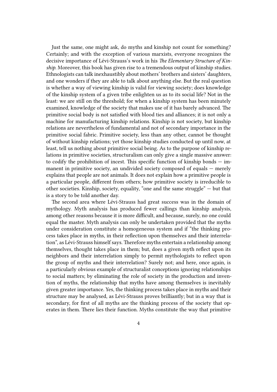Just the same, one might ask, do myths and kinship not count for something? Certainly; and with the exception of various marxists, everyone recognizes the decisive importance of Lévi-Strauss's work in his *The Elementary Structure of Kinship*. Moreover, this book has given rise to a tremendous output of kinship studies. Ethnologists can talk inexhaustibly about mothers' brothers and sisters' daughters, and one wonders if they are able to talk about anything else. But the real question is whether a way of viewing kinship is valid for viewing society; does knowledge of the kinship system of a given tribe enlighten us as to its social life? Not in the least: we are still on the threshold; for when a kinship system has been minutely examined, knowledge of the society that makes use of it has barely advanced. The primitive social body is not satisfied with blood ties and alliances; it is not only a machine for manufacturing kinship relations. Kinship is not society, but kinship relations are nevertheless of fundamental and not of secondary importance in the primitive social fabric. Primitive society, less than any other, cannot be thought of without kinship relations; yet those kinship studies conducted up until now, at least, tell us nothing about primitive social being. As to the purpose of kinship relations in primitive societies, structuralism can only give a single massive answer: to codify the prohibition of incest. This specific function of kinship bonds  $-$  immanent in primitive society, an undivided society composed of equals — merely explains that people are not animals. It does not explain how a primitive people is a particular people, different from others; how primitive society is irreducible to other societies. Kinship, society, equality, "one and the same struggle" — but that is a story to be told another day.

The second area where Lévi-Strauss had great success was in the domain of mythology. Myth analysis has produced fewer callings than kinship analysis, among other reasons because it is more difficult, and because, surely, no one could equal the master. Myth analysis can only be undertaken provided that the myths under consideration constitute a homogeneous system and if "the thinking process takes place in myths, in their reflection upon themselves and their interrelation", as Lévi-Strauss himself says. Therefore myths entertain a relationship among themselves, thought takes place in them; but, does a given myth reflect upon its neighbors and their interrelation simply to permit mythologists to reflect upon the group of myths and their interrelation? Surely not; and here, once again, is a particularly obvious example of structuralist conceptions ignoring relationships to social matters; by eliminating the role of society in the production and invention of myths, the relationship that myths have among themselves is inevitably given greater importance. Yes, the thinking process takes place in myths and their structure may be analysed, as Lévi-Strauss proves brilliantly; but in a way that is secondary, for first of all myths are the thinking process of the society that operates in them. There lies their function. Myths constitute the way that primitive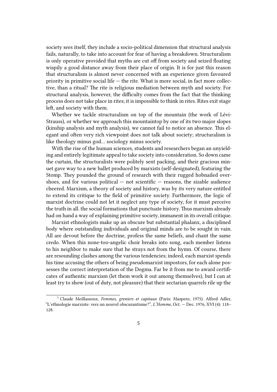society sees itself, they include a socio-political dimension that structural analysis fails, naturally, to take into account for fear of having a breakdown. Structuralism is only operative provided that myths are cut off from society and seized floating wispily a good distance away from their place of origin. It is for just this reason that structuralism is almost never concerned with an experience given favoured priority in primitive social life  $-$  the rite. What is more social, in fact more collective, than a ritual? The rite is religious mediation between myth and society. For structural analysis, however, the difficulty comes from the fact that the thinking process does not take place in rites; it is impossible to think in rites. Rites exit stage left, and society with them.

Whether we tackle structuralism on top of the mountain (the work of Lévi-Strauss), or whether we approach this mountaintop by one of its two major slopes (kinship analysis and myth analysis), we cannot fail to notice an absence. This elegant and often very rich viewpoint does not talk about society; structuralism is like theology minus god… sociology minus society.

With the rise of the human sciences, students and researchers began an unyielding and entirely legitimate appeal to take society into consideration. So down came the curtain, the structuralists were politely sent packing, and their gracious minuet gave way to a new ballet produced by marxists (self-designated), featuring the Stomp. They pounded the ground of research with their rugged hobnailed overshoes, and for various political  $-$  not scientific  $-$  reasons, the sizable audience cheered. Marxism, a theory of society and history, was by its very nature entitled to extend its critique to the field of primitive society. Furthermore, the logic of marxist doctrine could not let it neglect any type of society, for it must perceive the truth in all. the social formations that punctuate history. Thus marxism already had on hand a way of explaining primitive society, immanent in its overall critique.

Marxist ethnologists make up an obscure but substantial phalanx, a disciplined body where outstanding individuals and original minds are to be sought in vain. All are devout before the doctrine, profess the same beliefs, and chant the same credo. When this none-too-angelic choir breaks into song, each member listens to his neighbor to make sure that he strays not from the hymn. Of course, there are resounding clashes among the various tendencies; indeed, each marxist spends his time accusing the others of being pseudomarxist impostors, for each alone possesses the correct interpretation of the Dogma. Far be it from me to award certificates of authentic marxism (let them work it out among themselves), but I can at least try to show (out of duty, not pleasure) that their sectarian quarrels rile up the

<sup>1</sup> Claude Meillassoux, *Femmes, greniers et capitaux* (Paris: Maspero, 1975). Alfred Adler, "L'ethnologie marxiste: vers un nouvel obscurantisme?", *L'Homme*, Oct. — Dec. 1976, XVI (4): 118– 128.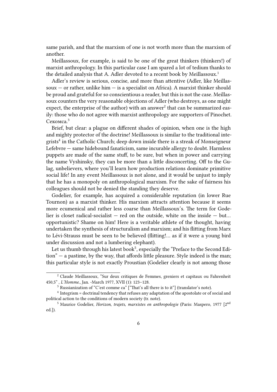same parish, and that the marxism of one is not worth more than the marxism of another.

Meillassoux, for example, is said to be one of the great thinkers (thinkers!) of marxist anthropology. In this particular case I am spared a lot of tedium thanks to the detailed analysis that A. Adler devoted to a recent book by Meillassoux.<sup>1</sup>

Adler's review is serious, concise, and more than attentive (Adler, like Meillassoux  $-$  or rather, unlike him  $-$  is a specialist on Africa). A marxist thinker should be proud and grateful for so conscientious a reader, but this is not the case. Meillassoux counters the very reasonable objections of Adler (who destroys, as one might expect, the enterprise of the author) with an answer<sup>2</sup> that can be summarized easily: those who do not agree with marxist anthropology are supporters of Pinochet. Секомса.<sup>3</sup>

Brief, but clear: a plague on different shades of opinion, when one is the high and mighty protector of the doctrine! Meillassoux is similar to the traditional integrists<sup>4</sup> in the Catholic Church; deep down inside there is a streak of Monseigneur Lefebvre — same hidebound fanaticism, same incurable allergy to doubt. Harmless puppets are made of the same stuff, to be sure, but when in power and carrying the name Vyshinsky, they can be more than a little disconcerting. Off to the Gulag, unbelievers, where you'll learn how production relations dominate primitive social life! In any event Meillassoux is not alone, and it would be unjust to imply that he has a monopoly on anthropological marxism. For the sake of fairness his colleagues should not be denied the standing they deserve.

Godelier, for example, has acquired a considerable reputation (in lower Rue Tournon) as a marxist thinker. His marxism attracts attention because it seems more ecumenical and rather less coarse than Meillassoux's. The term for Godelier is closet radical-socialist  $-$  red on the outside, white on the inside  $-$  but... opportunistic? Shame on him! Here is a veritable athlete of the thought, having undertaken the synthesis of structuralism and marxism; and his flitting from Marx to Lévi-Strauss must be seen to be believed (flitting!… as if it were a young bird under discussion and not a lumbering elephant).

Let us thumb through his latest book<sup>5</sup>, especially the "Preface to the Second Edition" — a pastime, by the way, that affords little pleasure. Style indeed is the man; this particular style is not exactly Proustian (Godelier clearly is not among those

<sup>2</sup> Claude Meillassoux, "Sur deux critiques de Femmes, greniers et capitaux ou Fahrenheit 450,5" , *L'Homme*., Jan. -March 1977, XVII (1): 123–128.

 $3$  Russianization of "C'est comme ca" ["That's all there is to it"] (translator's note).

<sup>&</sup>lt;sup>4</sup> Integrism = doctrinal tendency that refuses any adaptation of the apostolate or of social and political action to the conditions of modern society (tr. note).

<sup>5</sup> Maurice Godelier, *Horizon, trajets, marxistes en anthropologie* (Paris: Maspero, 1977 [2nd ed.]).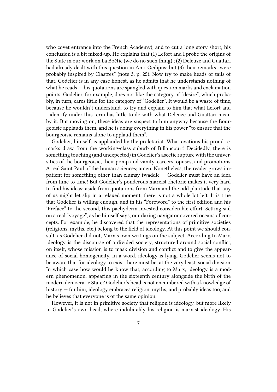who covet entrance into the French Academy); and to cut a long story short, his conclusion is a bit mixed-up. He explains that (1) Lefort and I probe the origins of the State in our work on La Boétie (we do no such thing) ; (2) Deleuze and Guattari had already dealt with this question in Anti-Oedipus; but (3) their remarks "were probably inspired by Clastres" (note 3, p. 25). Now try to make heads or tails of that. Godelier is in any case honest, as he admits that he understands nothing of what he reads — his quotations are spangled with question marks and exclamation points. Godelier, for example, does not like the category of "desire", which probably, in turn, cares little for the category of "Godelier". It would be a waste of time, because he wouldn't understand, to try and explain to him that what Lefort and I identify under this term has little to do with what Deleuze and Guattari mean by it. But moving on, these ideas are suspect to him anyway because the Bourgeoisie applauds them, and he is doing everything in his power "to ensure that the bourgeoisie remains alone to applaud them".

Godelier, himself, is applauded by the proletariat. What ovations his proud remarks draw from the working-class suburb of Billancourt! Decidedly, there is something touching (and unexpected) in Godelier's ascetic rupture with the universities of the bourgeoisie, their pomp and vanity, careers, opuses, and promotions. A real Saint Paul of the human sciences; amen. Nonetheless, the reader grows impatient for something other than clumsy twaddle — Godelier must have an idea from time to time! But Godelier's ponderous marxist rhetoric makes it very hard to find his ideas; aside from quotations from Marx and the odd platitude that any of us might let slip in a relaxed moment, there is not a whole lot left. It is true that Godelier is willing enough, and in his "Foreword" to the first edition and his "Preface" to the second, this pachyderm invested considerable effort. Setting sail on a real "voyage", as he himself says, our daring navigator covered oceans of concepts. For example, he discovered that the representations of primitive societies (religions, myths, etc.) belong to the field of ideology. At this point we should consult, as Godelier did not, Marx's own writings on the subject. According to Marx, ideology is the discourse of a divided society, structured around social conflict, on itself, whose mission is to mask division and conflict and to give the appearance of social homogeneity. In a word, ideology is lying. Godelier seems not to be aware that for ideology to exist there must be, at the very least, social division. In which case how would he know that, according to Marx, ideology is a modern phenomenon, appearing in the sixteenth century alongside the birth of the modern democratic State? Godelier's head is not encumbered with a knowledge of history — for him, ideology embraces religion, myths, and probably ideas too, and he believes that everyone is of the same opinion.

However, it is not in primitive society that religion is ideology, but more likely in Godelier's own head, where indubitably his religion is marxist ideology. His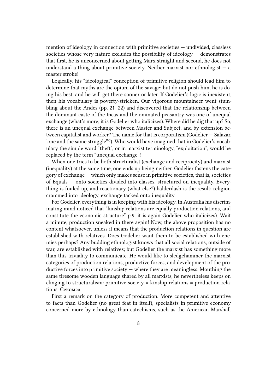mention of ideology in connection with primitive societies — undivided, classless societies whose very nature excludes the possibility of ideology  $-$  demonstrates that first, he is unconcerned about getting Marx straight and second, he does not understand a thing about primitive society. Neither marxist nor ethnologist  $-$  a master stroke!

Logically, his "ideological" conception of primitive religion should lead him to determine that myths are the opium of the savage; but do not push him, he is doing his best, and he will get there sooner or later. If Godelier's logic is inexistent, then his vocabulary is poverty-stricken. Our vigorous mountaineer went stumbling about the Andes (pp. 21–22) and discovered that the relationship between the dominant caste of the Incas and the ominated peasantry was one of unequal exchange (what's more, it is Godelier who italicizes). Where did he dig that up? So, there is an unequal exchange between Master and Subject, and by extension between capitalist and worker? The name for that is corporatism (Godelier — Salazar, "one and the same struggle"?). Who would have imagined that in Godelier's vocabulary the simple word "theft", or in marxist terminology, "exploitation", would be replaced by the term "unequal exchange"!

When one tries to be both structuralist (exchange and reciprocity) and marxist (inequality) at the same time, one ends up being neither. Godelier fastens the category of exchange — which only makes sense in primitive societies, that is, societies of Equals — onto societies divided into classes, structured on inequality. Everything is fouled up, and reactionary (what else?) balderdash is the result: religion crammed into ideology, exchange tacked onto inequality.

For Godelier, everything is in keeping with his ideology. In Australia his discriminating mind noticed that "kinship relations are equally production relations, and constitute the economic structure" p.9, it is again Godelier who italicizes). Wait a minute, production sneaked in there again! Now, the above proposition has no content whatsoever, unless it means that the production relations in question are established with relatives. Does Godelier want them to be established with enemies perhaps? Any budding ethnologist knows that all social relations, outside of war, are established with relatives; but Godelier the marxist has something more than this triviality to communicate. He would like to sledgehammer the marxist categories of production relations, productive forces, and development of the productive forces into primitive society  $-$  where they are meaningless. Mouthing the same tiresome wooden language shared by all marxists, he nevertheless keeps on clinging to structuralism: primitive society = kinship relations = production relations. Секомса.

First a remark on the category of production. More competent and attentive to facts than Godelier (no great feat in itself), specialists in primitive economy concerned more by ethnology than catechisms, such as the American Marshall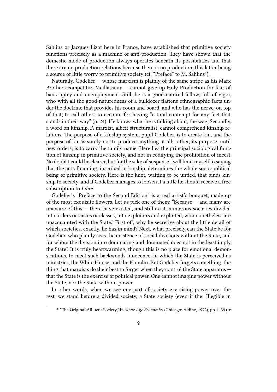Sahlins or Jacques Lizot here in France, have established that primitive society functions precisely as a machine of anti-production. They have shown that the domestic mode of production always operates beneath its possibilities and that there are no production relations because there is no production, this latter being a source of little worry to primitive society (cf. "Preface" to M. Sahlins<sup>6</sup>).

Naturally, Godelier  $-$  whose marxism is plainly of the same stripe as his Marx Brothers competitor, Meillassoux — cannot give up Holy Production for fear of bankruptcy and unemployment. Still, he is a good-natured fellow, full of vigor, who with all the good-naturedness of a bulldozer flattens ethnographic facts under the doctrine that provides his room and board, and who has the nerve, on top of that, to call others to account for having "a total contempt for any fact that stands in their way" (p. 24). He knows what he is talking about, the wag. Secondly, a word on kinship. A marxist, albeit structuralist, cannot comprehend kinship relations. The purpose of a kinship system, pupil Godelier, is to create kin, and the purpose of kin is surely not to produce anything at all; rather, its purpose, until new orders, is to carry the family name. Here lies the principal sociological function of kinship in primitive society, and not in codifying the prohibition of incest. No doubt I could be clearer, but for the sake of suspense I will limit myself to saying that the act of naming, inscribed in kinship, determines the whole socio-political being of primitive society. Here is the knot, waiting to be untied, that binds kinship to society, and if Godelier manages to loosen it a little he should receive a free subscription to *Libre*.

Godelier's "Preface to the Second Edition" is a real artist's bouquet, made up of the most exquisite flowers. Let us pick one of them: "Because — and many are unaware of this — there have existed, and still exist, numerous societies divided into orders or castes or classes, into exploiters and exploited, who nonetheless are unacquainted with the State." First off, why be secretive about the little detail of which societies, exactly, he has in mind? Next, what precisely can the State be for Godelier, who plainly sees the existence of social divisions without the State, and for whom the division into dominating and dominated does not in the least imply the State? It is truly heartwarming, though this is no place for emotional demonstrations, to meet such backwoods innocence, in which the State is perceived as ministries, the White House, and the Kremlin. But Godelier forgets something, the thing that marxists do their best to forget when they control the State apparatus that the State is the exercise of political power. One cannot imagine power without the State, nor the State without power.

In other words, when we see one part of society exercising power over the rest, we stand before a divided society, a State society (even if the [Illegible in

<sup>6</sup> "The Original Affluent Society," in *Stone Age Economics* (Chicago: Aldine, 1972), pp 1–39 (tr.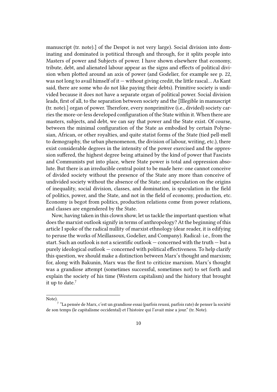manuscript (tr. note).] of the Despot is not very large). Social division into dominating and dominated is potitical through and through, for it splits people into Masters of power and Subjects of power. I have shown elsewhere that economy, tribute, debt, and alienated labour appear as the signs and effects of political division when plotted around an axis of power (and Godelier, for example see p. 22, was not long to avail himself of it  $-$  without giving credit, the little rascal... As Kant said, there are some who do not like paying their debts). Primitive society is undivided because it does not have a separate organ of political power. Social division leads, first of all, to the separation between society and the [Illegible in manuscript (tr. note).] organ of power. Therefore, every nonprimitive (i.e., divided) society carries the more-or-less developed configuration of the State within it. When there are masters, subjects, and debt, we can say that power and the State exist. Of course, between the minimal configuration of the State as embodied by certain Polynesian, African, or other royalties, and quite statist forms of the State (tied pell-mell to demography, the urban phenomenon, the division of labour, writing, etc.), there exist considerable degrees in the intensity of the power exercised and the oppression suffered, the highest degree being attained by the kind of power that Fascists and Communists put into place, where State power is total and oppression absolute. But there is an irreducible central point to be made here: one cannot conceive of divided society without the presence of the State any more than conceive of undivided society without the absence of the State; and speculation on the origins of inequality, social division, classes, and domination, is speculation in the field of politics, power, and the State, and not in the field of economy, production, etc. Economy is begot from politics, production relations come from power relations, and classes are engendered by the State.

Now, having taken in this clown show, let us tackle the important question: what does the marxist outlook signify in terms of anthropology? At the beginning of this article I spoke of the radical nullity of marxist ethnology (dear reader, it is edifying to peruse the works of Meillassoux, Godelier, and Company). Radical: i.e., from the start. Such an outlook is not a scientific outlook  $-$  concerned with the truth  $-$  but a purely ideological outlook — concerned with political effectiveness. To help clarify this question, we should make a distinction between Marx's thought and marxism; for, along with Bakunin, Marx was the first to criticize marxism. Marx's thought was a grandiose attempt (sometimes successful, sometimes not) to set forth and explain the society of his time (Western capitalism) and the history that brought it up to date.<sup>7</sup>

Note).

 $^7$  "La pensée de Marx, c'est un grandiose essai (parfois reussi, parfois rate) de penser la société de son temps (le capitalisme occidental) et l'histoire qui l'avait mise a jour." (tr. Note).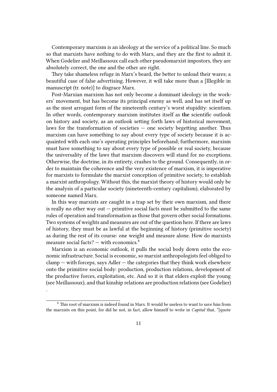Contemporary marxism is an ideology at the service of a political line. So much so that marxists have nothing to do with Marx, and they are the first to admit it. When Godelier and Meillassoux call each other pseudomarxist impostors, they are absolutely correct, the one and the other are right.

They take shameless refuge in Marx's beard, the better to unload their wares; a beautiful case of false advertising. However, it will take more than a [Illegible in manuscript (tr. note)] to disgrace Marx.

Post-Marxian marxism has not only become a dominant ideology in the workers' movement, but has become its principal enemy as well, and has set itself up as the most arrogant form of the nineteenth century's worst stupidity: scientism. In other words, contemporary marxism institutes itself as **the** scientific outlook on history and society, as an outlook setting forth laws of historical movement, laws for the transformation of societies  $-$  one society begetting another. Thus marxism can have something to say about every type of society because it is acquainted with each one's operating principles beforehand; furthermore, marxism must have something to say about every type of possible or real society, because the universality of the laws that marxism discovers will stand for no exceptions. Otherwise, the doctrine, in its entirety, crashes to the ground. Consequently, in order to maintain the coherence and the very existence of marxism, it is imperative for marxists to formulate the marxist conception of primitive society, to establish a marxist anthropology. Without this, the marxist theory of history would only be the analysis of a particular society (nineteenth-century capitalism), elaborated by someone named Marx.

In this way marxists are caught in a trap set by their own marxism, and there is really no other way out — primitive social facts must be submitted to the same rules of operation and transformation as those that govern other social formations. Two systems of weights and measures are out of the question here. If there are laws of history, they must be as lawful at the beginning of history (primitive society) as during the rest of its course: one weight and measure alone. How do marxists measure social facts?  $-$  with economics.<sup>8</sup>

Marxism is an economic outlook, it pulls the social body down onto the economic infrastructure. Social is economic, so marxist anthropologists feel obliged to  $clamp - with forces, says Adler - the categories that they think work elsewhere$ onto the primitive social body: production, production relations, development of the productive forces, exploitation, etc. And so it is that elders exploit the young (see Meillassoux), and that kinship relations are production relations (see Godelier)

.

<sup>8</sup> This root of marxism is indeed found in Marx. It would be useless to want to save him from the marxists on this point, for did he not, in fact, allow himself to write in *Capital* that, "[quote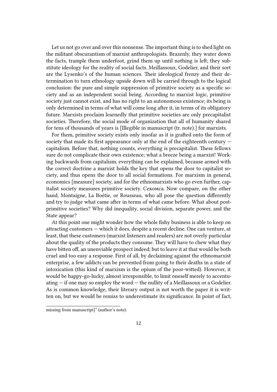Let us not go over and over this nonsense. The important thing is to shed light on the militant obscurantism of marxist anthropologists. Brazenly, they water down the facts, trample them underfoot, grind them up until nothing is left; they substitute ideology for the reality of social facts. Meillassoux, Godelier, and their sort are the Lysenko's of the human sciences. Their ideological frenzy and their determination to turn ethnology upside down will be carried through to the logical conclusion: the pure and simple suppression of primitive society as a specific society and as an independent social being. According to marxist logic, primitive society just cannot exist, and has no right to an autonomous existence; its being is only determined in terms of what will come long after it, in terms of its obligatory future. Marxists proclaim learnedly that primitive societies are only precapitalist societies. Therefore, the social mode of organization that all of humanity shared for tens of thousands of years is [Illegible in manuscript (tr. note).] for marxists.

For them, primitive society exists only insofar as it is grafted onto the form of society that made its first appearance only at the end of the eighteenth century  $$ capitalism. Before that, nothing counts, everything is precapitalist. These fellows sure do not complicate their own existence; what a breeze being a marxist! Working backwards from capitalism, everything can be explained, because armed with the correct doctrine a marxist holds the key that opens the door to capitalist society, and thus opens the door to all social formations. For marxism in general, economics [measure] society, and for the ethnomarxists who go even further, capitalist society measures primitive society. Секомса. Now compare, on the other hand, Montaigne, La Boétie, or Rousseau, who all pose the question differently and try to judge what came after in terms of what came before. What about postprimitive societies? Why did inequality, social division, separate power, and the State appear?

At this point one might wonder how the whole fishy business is able to keep on attracting customers — which it does, despite a recent decline. One can venture, at least, that these customers (marxist listeners and readers) are not overly particular about the quality of the products they consume. They will have to chew what they have bitten off, an unenviable prospect indeed; but to leave it at that would be both cruel and too easy a response. First of all, by declaiming against the ethnomarxist enterprise, a few addicts can be prevented from going to their deaths in a state of intoxication (this kind of marxism is the opium of the poor-witted). However, it would be happy-go-lucky, almost irresponsible, to limit oneself merely to accentuating — if one may so employ the word — the nullity of a Meillassoux or a Godelier. As is common knowledge, their literary output is not worth the paper it is written on, but we would be remiss to underestimate its significance. In point of fact,

missing from manuscript]" (author's note).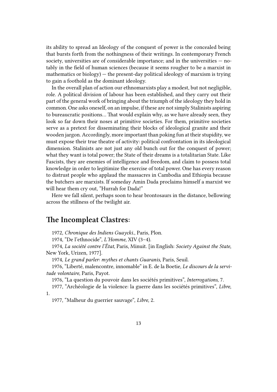its ability to spread an Ideology of the conquest of power is the concealed being that bursts forth from the nothingness of their writings. In contemporary French society, universities are of considerable importance; and in the universities — notably in the field of human sciences (because it seems rougher to be a marxist in mathematics or biology) — the present-day political ideology of marxism is trying to gain a foothold as the dominant ideology.

In the overall plan of action our ethnomarxists play a modest, but not negligible, role. A political division of labour has been established, and they carry out their part of the general work of bringing about the triumph of the ideology they hold in common. One asks oneself, on an impulse, if these are not simply Stalinists aspiring to bureaucratic positions… That would explain why, as we have already seen, they look so far down their noses at primitive societies. For them, primitive societies serve as a pretext for disseminating their blocks of ideological granite and their wooden jargon. Accordingly, more important than poking fun at their stupidity, we must expose their true theatre of activity: political confrontation in its ideological dimension. Stalinists are not just any old bunch out for the conquest of power; what they want is total power; the State of their dreams is a totalitarian State. Like Fascists, they are enemies of intelligence and freedom, and claim to possess total knowledge in order to legitimize the exercise of total power. One has every reason to distrust people who applaud the massacres in Cambodia and Ethiopia because the butchers are marxists. If someday Amin Dada proclaims himself a marxist we will hear them cry out, "Hurrah for Dada!"

Here we fall silent, perhaps soon to hear brontosaurs in the distance, bellowing across the stillness of the twilight air.

## **The Incompleat Clastres:**

1972, *Chronique des Indiens Guaycki*., Paris, Plon.

1974, "De l'ethnocide", *L'Homme*, XIV (3–4).

1974, *La société contre l'État*, Paris, Minuit. [in English: *Society Against the State*, New York, Urizen, 1977].

1974, *Le grand parler: mythes et chants Guaranis*, Paris, Seuil.

1976, "Liberté, malencontre, innomable" in E. de la Boetie, *Le discours de la servitude volontaire*, Paris, Payot.

1976, "La question du pouvoir dans les sociétés primitives", *Interrogations*, 7.

1977, "Archéologie de la violence: la guerre dans les sociétés primitives", *Libre*, 1.

1977, "Malheur du guerrier sauvage", *Libre*, 2.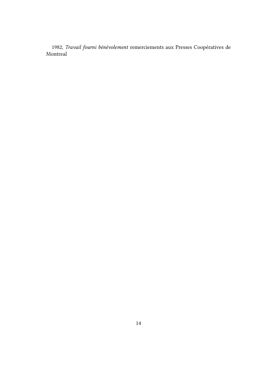1982, *Travail fourni bénévolement* remerciements aux Presses Coopératives de Montreal